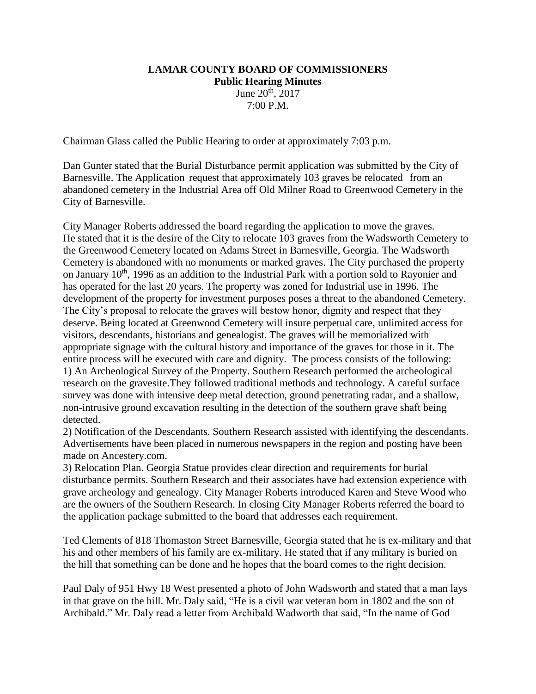## **LAMAR COUNTY BOARD OF COMMISSIONERS Public Hearing Minutes** June 20<sup>th</sup>, 2017 7:00 P.M.

Chairman Glass called the Public Hearing to order at approximately 7:03 p.m.

Dan Gunter stated that the Burial Disturbance permit application was submitted by the City of Barnesville. The Application request that approximately 103 graves be relocated from an abandoned cemetery in the Industrial Area off Old Milner Road to Greenwood Cemetery in the City of Barnesville.

City Manager Roberts addressed the board regarding the application to move the graves. He stated that it is the desire of the City to relocate 103 graves from the Wadsworth Cemetery to the Greenwood Cemetery located on Adams Street in Barnesville, Georgia. The Wadsworth Cemetery is abandoned with no monuments or marked graves. The City purchased the property on January 10<sup>th</sup>, 1996 as an addition to the Industrial Park with a portion sold to Rayonier and has operated for the last 20 years. The property was zoned for Industrial use in 1996. The development of the property for investment purposes poses a threat to the abandoned Cemetery. The City's proposal to relocate the graves will bestow honor, dignity and respect that they deserve. Being located at Greenwood Cemetery will insure perpetual care, unlimited access for visitors, descendants, historians and genealogist. The graves will be memorialized with appropriate signage with the cultural history and importance of the graves for those in it. The entire process will be executed with care and dignity. The process consists of the following: 1) An Archeological Survey of the Property. Southern Research performed the archeological research on the gravesite.They followed traditional methods and technology. A careful surface survey was done with intensive deep metal detection, ground penetrating radar, and a shallow, non-intrusive ground excavation resulting in the detection of the southern grave shaft being detected.

2) Notification of the Descendants. Southern Research assisted with identifying the descendants. Advertisements have been placed in numerous newspapers in the region and posting have been made on Ancestery.com.

3) Relocation Plan. Georgia Statue provides clear direction and requirements for burial disturbance permits. Southern Research and their associates have had extension experience with grave archeology and genealogy. City Manager Roberts introduced Karen and Steve Wood who are the owners of the Southern Research. In closing City Manager Roberts referred the board to the application package submitted to the board that addresses each requirement.

Ted Clements of 818 Thomaston Street Barnesville, Georgia stated that he is ex-military and that his and other members of his family are ex-military. He stated that if any military is buried on the hill that something can be done and he hopes that the board comes to the right decision.

Paul Daly of 951 Hwy 18 West presented a photo of John Wadsworth and stated that a man lays in that grave on the hill. Mr. Daly said, "He is a civil war veteran born in 1802 and the son of Archibald." Mr. Daly read a letter from Archibald Wadworth that said, "In the name of God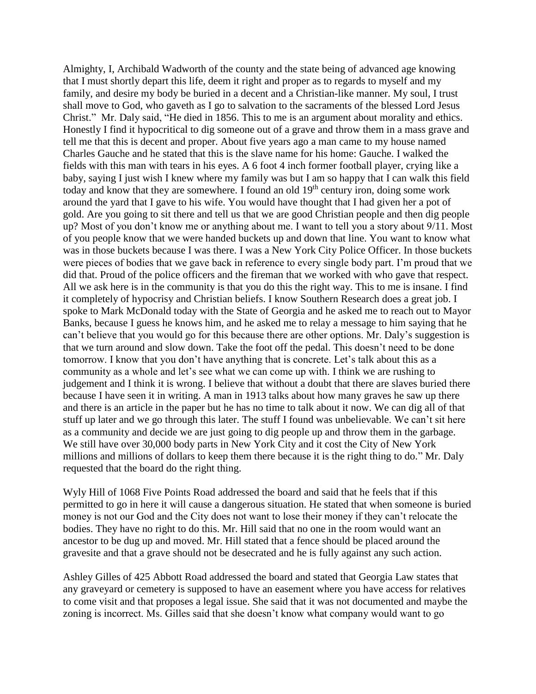Almighty, I, Archibald Wadworth of the county and the state being of advanced age knowing that I must shortly depart this life, deem it right and proper as to regards to myself and my family, and desire my body be buried in a decent and a Christian-like manner. My soul, I trust shall move to God, who gaveth as I go to salvation to the sacraments of the blessed Lord Jesus Christ." Mr. Daly said, "He died in 1856. This to me is an argument about morality and ethics. Honestly I find it hypocritical to dig someone out of a grave and throw them in a mass grave and tell me that this is decent and proper. About five years ago a man came to my house named Charles Gauche and he stated that this is the slave name for his home: Gauche. I walked the fields with this man with tears in his eyes. A 6 foot 4 inch former football player, crying like a baby, saying I just wish I knew where my family was but I am so happy that I can walk this field today and know that they are somewhere. I found an old  $19<sup>th</sup>$  century iron, doing some work around the yard that I gave to his wife. You would have thought that I had given her a pot of gold. Are you going to sit there and tell us that we are good Christian people and then dig people up? Most of you don't know me or anything about me. I want to tell you a story about 9/11. Most of you people know that we were handed buckets up and down that line. You want to know what was in those buckets because I was there. I was a New York City Police Officer. In those buckets were pieces of bodies that we gave back in reference to every single body part. I'm proud that we did that. Proud of the police officers and the fireman that we worked with who gave that respect. All we ask here is in the community is that you do this the right way. This to me is insane. I find it completely of hypocrisy and Christian beliefs. I know Southern Research does a great job. I spoke to Mark McDonald today with the State of Georgia and he asked me to reach out to Mayor Banks, because I guess he knows him, and he asked me to relay a message to him saying that he can't believe that you would go for this because there are other options. Mr. Daly's suggestion is that we turn around and slow down. Take the foot off the pedal. This doesn't need to be done tomorrow. I know that you don't have anything that is concrete. Let's talk about this as a community as a whole and let's see what we can come up with. I think we are rushing to judgement and I think it is wrong. I believe that without a doubt that there are slaves buried there because I have seen it in writing. A man in 1913 talks about how many graves he saw up there and there is an article in the paper but he has no time to talk about it now. We can dig all of that stuff up later and we go through this later. The stuff I found was unbelievable. We can't sit here as a community and decide we are just going to dig people up and throw them in the garbage. We still have over 30,000 body parts in New York City and it cost the City of New York millions and millions of dollars to keep them there because it is the right thing to do." Mr. Daly requested that the board do the right thing.

Wyly Hill of 1068 Five Points Road addressed the board and said that he feels that if this permitted to go in here it will cause a dangerous situation. He stated that when someone is buried money is not our God and the City does not want to lose their money if they can't relocate the bodies. They have no right to do this. Mr. Hill said that no one in the room would want an ancestor to be dug up and moved. Mr. Hill stated that a fence should be placed around the gravesite and that a grave should not be desecrated and he is fully against any such action.

Ashley Gilles of 425 Abbott Road addressed the board and stated that Georgia Law states that any graveyard or cemetery is supposed to have an easement where you have access for relatives to come visit and that proposes a legal issue. She said that it was not documented and maybe the zoning is incorrect. Ms. Gilles said that she doesn't know what company would want to go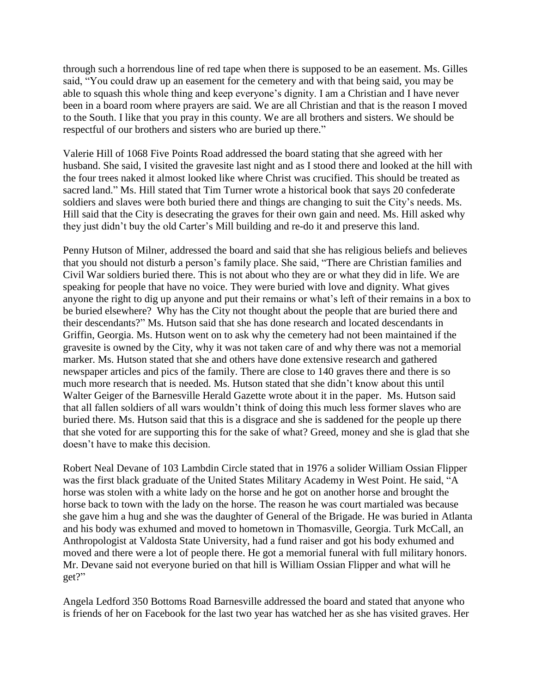through such a horrendous line of red tape when there is supposed to be an easement. Ms. Gilles said, "You could draw up an easement for the cemetery and with that being said, you may be able to squash this whole thing and keep everyone's dignity. I am a Christian and I have never been in a board room where prayers are said. We are all Christian and that is the reason I moved to the South. I like that you pray in this county. We are all brothers and sisters. We should be respectful of our brothers and sisters who are buried up there."

Valerie Hill of 1068 Five Points Road addressed the board stating that she agreed with her husband. She said, I visited the gravesite last night and as I stood there and looked at the hill with the four trees naked it almost looked like where Christ was crucified. This should be treated as sacred land." Ms. Hill stated that Tim Turner wrote a historical book that says 20 confederate soldiers and slaves were both buried there and things are changing to suit the City's needs. Ms. Hill said that the City is desecrating the graves for their own gain and need. Ms. Hill asked why they just didn't buy the old Carter's Mill building and re-do it and preserve this land.

Penny Hutson of Milner, addressed the board and said that she has religious beliefs and believes that you should not disturb a person's family place. She said, "There are Christian families and Civil War soldiers buried there. This is not about who they are or what they did in life. We are speaking for people that have no voice. They were buried with love and dignity. What gives anyone the right to dig up anyone and put their remains or what's left of their remains in a box to be buried elsewhere? Why has the City not thought about the people that are buried there and their descendants?" Ms. Hutson said that she has done research and located descendants in Griffin, Georgia. Ms. Hutson went on to ask why the cemetery had not been maintained if the gravesite is owned by the City, why it was not taken care of and why there was not a memorial marker. Ms. Hutson stated that she and others have done extensive research and gathered newspaper articles and pics of the family. There are close to 140 graves there and there is so much more research that is needed. Ms. Hutson stated that she didn't know about this until Walter Geiger of the Barnesville Herald Gazette wrote about it in the paper. Ms. Hutson said that all fallen soldiers of all wars wouldn't think of doing this much less former slaves who are buried there. Ms. Hutson said that this is a disgrace and she is saddened for the people up there that she voted for are supporting this for the sake of what? Greed, money and she is glad that she doesn't have to make this decision.

Robert Neal Devane of 103 Lambdin Circle stated that in 1976 a solider William Ossian Flipper was the first black graduate of the United States Military Academy in West Point. He said, "A horse was stolen with a white lady on the horse and he got on another horse and brought the horse back to town with the lady on the horse. The reason he was court martialed was because she gave him a hug and she was the daughter of General of the Brigade. He was buried in Atlanta and his body was exhumed and moved to hometown in Thomasville, Georgia. Turk McCall, an Anthropologist at Valdosta State University, had a fund raiser and got his body exhumed and moved and there were a lot of people there. He got a memorial funeral with full military honors. Mr. Devane said not everyone buried on that hill is William Ossian Flipper and what will he get?"

Angela Ledford 350 Bottoms Road Barnesville addressed the board and stated that anyone who is friends of her on Facebook for the last two year has watched her as she has visited graves. Her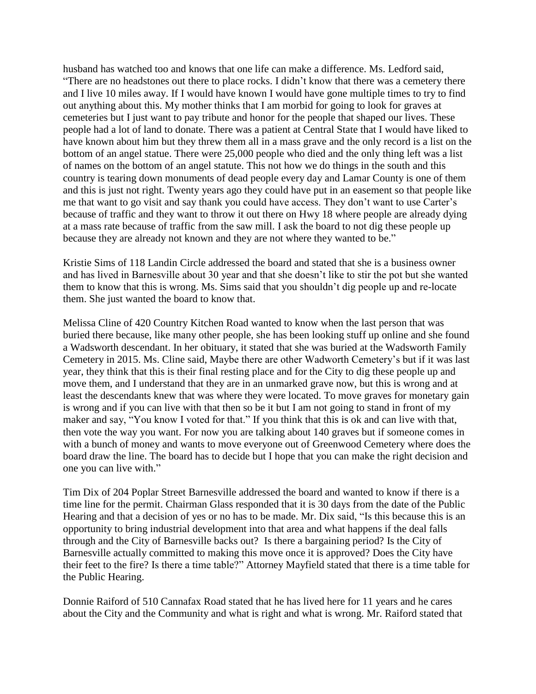husband has watched too and knows that one life can make a difference. Ms. Ledford said, "There are no headstones out there to place rocks. I didn't know that there was a cemetery there and I live 10 miles away. If I would have known I would have gone multiple times to try to find out anything about this. My mother thinks that I am morbid for going to look for graves at cemeteries but I just want to pay tribute and honor for the people that shaped our lives. These people had a lot of land to donate. There was a patient at Central State that I would have liked to have known about him but they threw them all in a mass grave and the only record is a list on the bottom of an angel statue. There were 25,000 people who died and the only thing left was a list of names on the bottom of an angel statute. This not how we do things in the south and this country is tearing down monuments of dead people every day and Lamar County is one of them and this is just not right. Twenty years ago they could have put in an easement so that people like me that want to go visit and say thank you could have access. They don't want to use Carter's because of traffic and they want to throw it out there on Hwy 18 where people are already dying at a mass rate because of traffic from the saw mill. I ask the board to not dig these people up because they are already not known and they are not where they wanted to be."

Kristie Sims of 118 Landin Circle addressed the board and stated that she is a business owner and has lived in Barnesville about 30 year and that she doesn't like to stir the pot but she wanted them to know that this is wrong. Ms. Sims said that you shouldn't dig people up and re-locate them. She just wanted the board to know that.

Melissa Cline of 420 Country Kitchen Road wanted to know when the last person that was buried there because, like many other people, she has been looking stuff up online and she found a Wadsworth descendant. In her obituary, it stated that she was buried at the Wadsworth Family Cemetery in 2015. Ms. Cline said, Maybe there are other Wadworth Cemetery's but if it was last year, they think that this is their final resting place and for the City to dig these people up and move them, and I understand that they are in an unmarked grave now, but this is wrong and at least the descendants knew that was where they were located. To move graves for monetary gain is wrong and if you can live with that then so be it but I am not going to stand in front of my maker and say, "You know I voted for that." If you think that this is ok and can live with that, then vote the way you want. For now you are talking about 140 graves but if someone comes in with a bunch of money and wants to move everyone out of Greenwood Cemetery where does the board draw the line. The board has to decide but I hope that you can make the right decision and one you can live with."

Tim Dix of 204 Poplar Street Barnesville addressed the board and wanted to know if there is a time line for the permit. Chairman Glass responded that it is 30 days from the date of the Public Hearing and that a decision of yes or no has to be made. Mr. Dix said, "Is this because this is an opportunity to bring industrial development into that area and what happens if the deal falls through and the City of Barnesville backs out? Is there a bargaining period? Is the City of Barnesville actually committed to making this move once it is approved? Does the City have their feet to the fire? Is there a time table?" Attorney Mayfield stated that there is a time table for the Public Hearing.

Donnie Raiford of 510 Cannafax Road stated that he has lived here for 11 years and he cares about the City and the Community and what is right and what is wrong. Mr. Raiford stated that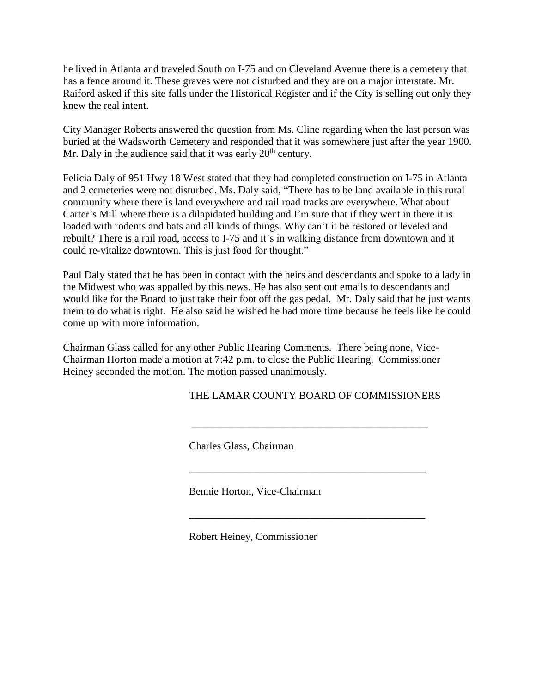he lived in Atlanta and traveled South on I-75 and on Cleveland Avenue there is a cemetery that has a fence around it. These graves were not disturbed and they are on a major interstate. Mr. Raiford asked if this site falls under the Historical Register and if the City is selling out only they knew the real intent.

City Manager Roberts answered the question from Ms. Cline regarding when the last person was buried at the Wadsworth Cemetery and responded that it was somewhere just after the year 1900. Mr. Daly in the audience said that it was early  $20<sup>th</sup>$  century.

Felicia Daly of 951 Hwy 18 West stated that they had completed construction on I-75 in Atlanta and 2 cemeteries were not disturbed. Ms. Daly said, "There has to be land available in this rural community where there is land everywhere and rail road tracks are everywhere. What about Carter's Mill where there is a dilapidated building and I'm sure that if they went in there it is loaded with rodents and bats and all kinds of things. Why can't it be restored or leveled and rebuilt? There is a rail road, access to I-75 and it's in walking distance from downtown and it could re-vitalize downtown. This is just food for thought."

Paul Daly stated that he has been in contact with the heirs and descendants and spoke to a lady in the Midwest who was appalled by this news. He has also sent out emails to descendants and would like for the Board to just take their foot off the gas pedal. Mr. Daly said that he just wants them to do what is right. He also said he wished he had more time because he feels like he could come up with more information.

Chairman Glass called for any other Public Hearing Comments. There being none, Vice-Chairman Horton made a motion at 7:42 p.m. to close the Public Hearing. Commissioner Heiney seconded the motion. The motion passed unanimously.

## THE LAMAR COUNTY BOARD OF COMMISSIONERS

\_\_\_\_\_\_\_\_\_\_\_\_\_\_\_\_\_\_\_\_\_\_\_\_\_\_\_\_\_\_\_\_\_\_\_\_\_\_\_\_\_\_\_\_\_

\_\_\_\_\_\_\_\_\_\_\_\_\_\_\_\_\_\_\_\_\_\_\_\_\_\_\_\_\_\_\_\_\_\_\_\_\_\_\_\_\_\_\_\_\_

\_\_\_\_\_\_\_\_\_\_\_\_\_\_\_\_\_\_\_\_\_\_\_\_\_\_\_\_\_\_\_\_\_\_\_\_\_\_\_\_\_\_\_\_\_

Charles Glass, Chairman

Bennie Horton, Vice-Chairman

Robert Heiney, Commissioner